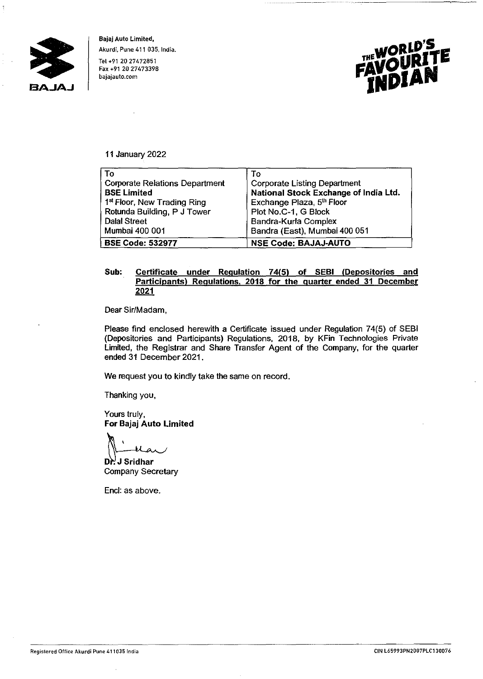

**Bajaj Auto Limited,**  Akurdi, Pune 411 035, India. Tel +91 20 27472851 Fax +91 20 27473398 bajajauto.com



## **11** January 2022

| Tο                                      | To                                    |
|-----------------------------------------|---------------------------------------|
| <b>Corporate Relations Department</b>   | <b>Corporate Listing Department</b>   |
| <b>BSE Limited</b>                      | National Stock Exchange of India Ltd. |
| 1 <sup>st</sup> Floor, New Trading Ring | Exchange Plaza, 5th Floor             |
| Rotunda Building, P J Tower             | Plot No.C-1, G Block                  |
| <b>Dalal Street</b>                     | Bandra-Kurla Complex                  |
| Mumbai 400 001                          | Bandra (East), Mumbai 400 051         |
| <b>BSE Code: 532977</b>                 | <b>NSE Code: BAJAJ-AUTO</b>           |

## **Sub: Certificate under Regulation 74(5) of SEBI (Depositories and Participants) Regulations. 2018 for the quarter ended 31 December 2021**

Dear Sir/Madam,

Please find enclosed herewith a Certificate issued under Regulation 74(5) of SEBI (Depositories and Participants) Regulations, 2018, by KFin Technologies Private Limited, the Registrar and Share Transfer Agent of the Company, for the quarter ended 31 December 2021.

We request you to kindly take the same on record.

Thanking you,

Yours truly,

**For Bajaj Auto Limited**<br> **Pr. J Sridhar<br>
Company Secretary** 

**Company Secretary** 

Encl: as above.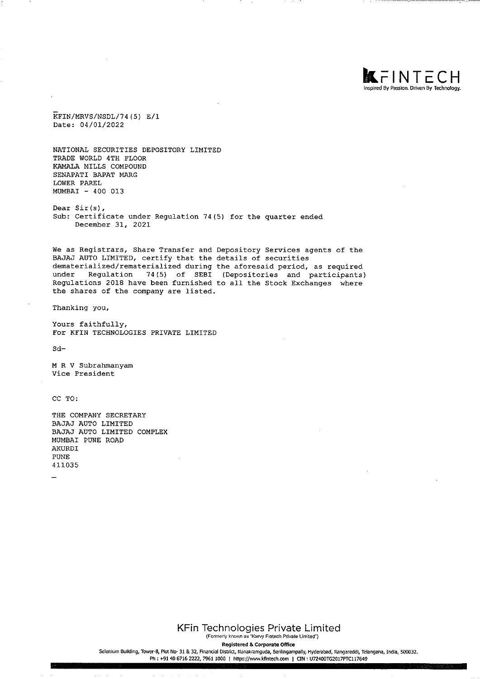

KFIN/MRVS/NSDL/74(5) E/1 Date: 04/01/2022

NATIONAL SECURITIES DEPOSITORY LIMITED TRADE WORLD 4TH FLOOR KAMALA MILLS COMPOUND SENAPATI BAPAT MARG LOWER PAREL MUMBAI - 400 013

Dear Sir (s), Sub: Certificate under Regulation 74(5) for the quarter ended December 31, 2021

We as Registrars, Share Transfer and Depository Services agents of the BAJAJ AUTO LIMITED, certify that the details of securities dematerialized/rematerialized during the aforesaid period, as required under Regulation 74(5) of SEBI {Depositories and participants) Regulations 2018 have been furnished to all the Stock Exchanges where the shares of the company are listed.

Thanking you,

Yours faithfully, For KFIN TECHNOLOGIES PRIVATE LIMITED

Sd-

MR V Subrahmanyam Vice President

CC TO:

THE COMPANY SECRETARY BAJAJ AUTO LIMITED BAJAJ AUTO LIMITED COMPLEX MUMBAI PONE ROAD AKURDI PONE 411035

**KFin Technologies Private Limited**  (Formerly known as ·Karvy Fintech Private Limited·)

Registered & Corporate Office

Selenium Building, Tower-B, Plot No- 31 & 32, Financial District, Nanakramguda, Serilingampally, Hyderabad, Rangareddi, Telangana, India, 500032. Ph: +91 40 6716 2222, 7961 1000 | https://www.kfintech.com | CIN: U72400TG2017PTC117649